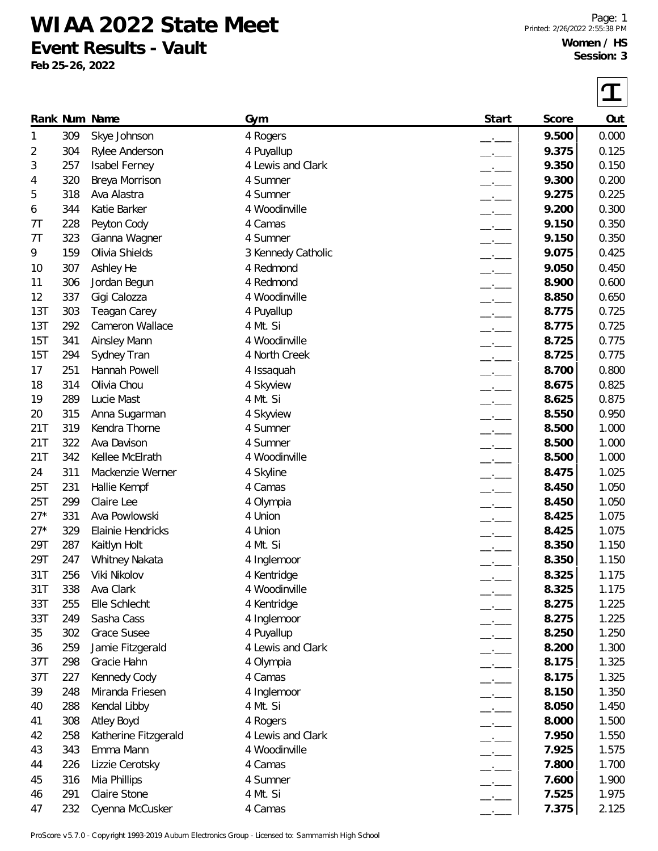**WIAA 2022 State Meet Event Results - Vault**

**Feb 25-26, 2022**

| Start<br>Rank Num Name<br>Score<br>Gym<br>9.500<br>309<br>Skye Johnson<br>4 Rogers<br>1<br>9.375<br>304<br>2<br>Rylee Anderson<br>4 Puyallup<br>3<br>257<br>4 Lewis and Clark<br>9.350<br>Isabel Ferney<br>320<br>Breya Morrison<br>4 Sumner<br>9.300<br>4<br>5<br>318<br>Ava Alastra<br>4 Sumner<br>9.275<br>344<br>Katie Barker<br>4 Woodinville<br>9.200<br>6<br>228<br>Peyton Cody<br>9.150<br>4 Camas<br>7T<br>323<br>4 Sumner<br>9.150<br>Gianna Wagner<br>7T | Out<br>0.000<br>0.125<br>0.150<br>0.200<br>0.225<br>0.300<br>0.350<br>0.350<br>0.425<br>0.450<br>0.600<br>0.650<br>0.725<br>0.725<br>0.775 |
|---------------------------------------------------------------------------------------------------------------------------------------------------------------------------------------------------------------------------------------------------------------------------------------------------------------------------------------------------------------------------------------------------------------------------------------------------------------------|--------------------------------------------------------------------------------------------------------------------------------------------|
|                                                                                                                                                                                                                                                                                                                                                                                                                                                                     |                                                                                                                                            |
|                                                                                                                                                                                                                                                                                                                                                                                                                                                                     |                                                                                                                                            |
|                                                                                                                                                                                                                                                                                                                                                                                                                                                                     |                                                                                                                                            |
|                                                                                                                                                                                                                                                                                                                                                                                                                                                                     |                                                                                                                                            |
|                                                                                                                                                                                                                                                                                                                                                                                                                                                                     |                                                                                                                                            |
|                                                                                                                                                                                                                                                                                                                                                                                                                                                                     |                                                                                                                                            |
|                                                                                                                                                                                                                                                                                                                                                                                                                                                                     |                                                                                                                                            |
|                                                                                                                                                                                                                                                                                                                                                                                                                                                                     |                                                                                                                                            |
|                                                                                                                                                                                                                                                                                                                                                                                                                                                                     |                                                                                                                                            |
| Olivia Shields<br>159<br>9.075<br>9<br>3 Kennedy Catholic                                                                                                                                                                                                                                                                                                                                                                                                           |                                                                                                                                            |
| 307<br>Ashley He<br>4 Redmond<br>9.050<br>10                                                                                                                                                                                                                                                                                                                                                                                                                        |                                                                                                                                            |
| 4 Redmond<br>8.900<br>306<br>Jordan Begun<br>11                                                                                                                                                                                                                                                                                                                                                                                                                     |                                                                                                                                            |
| 337<br>Gigi Calozza<br>4 Woodinville<br>8.850<br>12                                                                                                                                                                                                                                                                                                                                                                                                                 |                                                                                                                                            |
| 13T<br>303<br>8.775<br><b>Teagan Carey</b><br>4 Puyallup                                                                                                                                                                                                                                                                                                                                                                                                            |                                                                                                                                            |
| 13T<br>292<br>Cameron Wallace<br>4 Mt. Si<br>8.775                                                                                                                                                                                                                                                                                                                                                                                                                  |                                                                                                                                            |
| 15T<br>4 Woodinville<br>8.725<br>341<br><b>Ainsley Mann</b>                                                                                                                                                                                                                                                                                                                                                                                                         |                                                                                                                                            |
| 15T<br>4 North Creek<br>8.725<br>294<br>Sydney Tran                                                                                                                                                                                                                                                                                                                                                                                                                 | 0.775                                                                                                                                      |
| 251<br>Hannah Powell<br>8.700<br>17<br>4 Issaquah<br>$-1$                                                                                                                                                                                                                                                                                                                                                                                                           | 0.800                                                                                                                                      |
| 314<br>Olivia Chou<br>8.675<br>18<br>4 Skyview<br>$-1$                                                                                                                                                                                                                                                                                                                                                                                                              | 0.825                                                                                                                                      |
| 289<br>4 Mt. Si<br>8.625<br>19<br>Lucie Mast<br>$-$                                                                                                                                                                                                                                                                                                                                                                                                                 | 0.875                                                                                                                                      |
| 315<br>Anna Sugarman<br>8.550<br>4 Skyview<br>20<br>$-1$                                                                                                                                                                                                                                                                                                                                                                                                            | 0.950                                                                                                                                      |
| 21T<br>319<br>Kendra Thorne<br>4 Sumner<br>8.500                                                                                                                                                                                                                                                                                                                                                                                                                    | 1.000                                                                                                                                      |
| 21T<br>322<br>Ava Davison<br>4 Sumner<br>8.500                                                                                                                                                                                                                                                                                                                                                                                                                      | 1.000                                                                                                                                      |
| 21T<br>342<br>Kellee McElrath<br>4 Woodinville<br>8.500                                                                                                                                                                                                                                                                                                                                                                                                             | 1.000                                                                                                                                      |
| 311<br>Mackenzie Werner<br>4 Skyline<br>8.475<br>24<br>$-1$                                                                                                                                                                                                                                                                                                                                                                                                         | 1.025                                                                                                                                      |
| 25T<br>231<br>8.450<br>Hallie Kempf<br>4 Camas                                                                                                                                                                                                                                                                                                                                                                                                                      | 1.050                                                                                                                                      |
| 25T<br>299<br>8.450<br>Claire Lee<br>4 Olympia                                                                                                                                                                                                                                                                                                                                                                                                                      | 1.050                                                                                                                                      |
| $27*$<br>Ava Powlowski<br>8.425<br>331<br>4 Union                                                                                                                                                                                                                                                                                                                                                                                                                   | 1.075                                                                                                                                      |
| $27*$<br>329<br>Elainie Hendricks<br>8.425<br>4 Union                                                                                                                                                                                                                                                                                                                                                                                                               | 1.075                                                                                                                                      |
| 29T<br>287<br>4 Mt. Si<br>8.350<br>Kaitlyn Holt                                                                                                                                                                                                                                                                                                                                                                                                                     | 1.150                                                                                                                                      |
| 8.350<br>29T<br>247<br>Whitney Nakata<br>4 Inglemoor                                                                                                                                                                                                                                                                                                                                                                                                                | 1.150                                                                                                                                      |
| Viki Nikolov<br>8.325<br>31T<br>256<br>4 Kentridge                                                                                                                                                                                                                                                                                                                                                                                                                  | 1.175                                                                                                                                      |
| Ava Clark<br>31T<br>338<br>4 Woodinville<br>8.325                                                                                                                                                                                                                                                                                                                                                                                                                   | 1.175                                                                                                                                      |
| 33T<br>255<br>Elle Schlecht<br>4 Kentridge<br>8.275                                                                                                                                                                                                                                                                                                                                                                                                                 | 1.225                                                                                                                                      |
| Sasha Cass<br>8.275<br>33T<br>249<br>4 Inglemoor<br>$ -$                                                                                                                                                                                                                                                                                                                                                                                                            | 1.225                                                                                                                                      |
| Grace Susee<br>302<br>4 Puyallup<br>8.250<br>35<br>$ -$                                                                                                                                                                                                                                                                                                                                                                                                             | 1.250                                                                                                                                      |
| 259<br>4 Lewis and Clark<br>8.200<br>36<br>Jamie Fitzgerald<br>$   -$                                                                                                                                                                                                                                                                                                                                                                                               | 1.300                                                                                                                                      |
| 37T<br>298<br>Gracie Hahn<br>8.175<br>4 Olympia<br><u>andro Carlos I</u>                                                                                                                                                                                                                                                                                                                                                                                            | 1.325                                                                                                                                      |
| Kennedy Cody<br>4 Camas<br>8.175<br>37T<br>227<br>$-$                                                                                                                                                                                                                                                                                                                                                                                                               | 1.325                                                                                                                                      |
| Miranda Friesen<br>8.150<br>39<br>248<br>4 Inglemoor                                                                                                                                                                                                                                                                                                                                                                                                                | 1.350                                                                                                                                      |
| Kendal Libby<br>288<br>4 Mt. Si<br>8.050<br>40<br>$ -$                                                                                                                                                                                                                                                                                                                                                                                                              | 1.450                                                                                                                                      |
| Atley Boyd<br>308<br>8.000<br>41<br>4 Rogers<br>$-$                                                                                                                                                                                                                                                                                                                                                                                                                 | 1.500                                                                                                                                      |
| 7.950<br>258<br>Katherine Fitzgerald<br>4 Lewis and Clark<br>42<br>$-$                                                                                                                                                                                                                                                                                                                                                                                              | 1.550                                                                                                                                      |
| Emma Mann<br>7.925<br>43<br>343<br>4 Woodinville<br>$ -$                                                                                                                                                                                                                                                                                                                                                                                                            | 1.575                                                                                                                                      |
| Lizzie Cerotsky<br>7.800<br>226<br>4 Camas<br>44                                                                                                                                                                                                                                                                                                                                                                                                                    | 1.700                                                                                                                                      |
| 4 Sumner<br>7.600<br>45<br>316<br>Mia Phillips                                                                                                                                                                                                                                                                                                                                                                                                                      | 1.900                                                                                                                                      |
| Claire Stone<br>4 Mt. Si<br>7.525<br>291<br>46                                                                                                                                                                                                                                                                                                                                                                                                                      | 1.975                                                                                                                                      |
| 232<br>Cyenna McCusker<br>4 Camas<br>7.375<br>47                                                                                                                                                                                                                                                                                                                                                                                                                    | 2.125                                                                                                                                      |